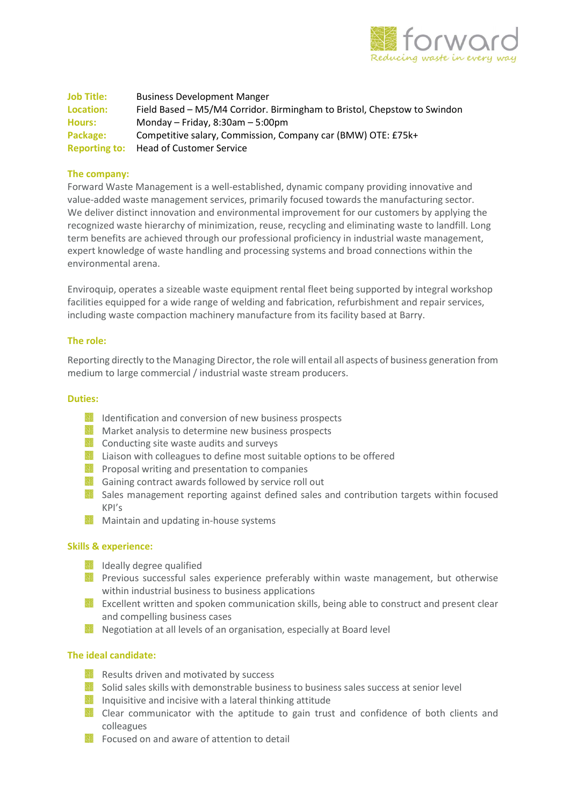

Job Title: Business Development Manger Location: Field Based – M5/M4 Corridor. Birmingham to Bristol, Chepstow to Swindon Hours: Monday – Friday, 8:30am – 5:00pm Package: Competitive salary, Commission, Company car (BMW) OTE: £75k+ Reporting to: Head of Customer Service

# The company:

Forward Waste Management is a well-established, dynamic company providing innovative and value-added waste management services, primarily focused towards the manufacturing sector. We deliver distinct innovation and environmental improvement for our customers by applying the recognized waste hierarchy of minimization, reuse, recycling and eliminating waste to landfill. Long term benefits are achieved through our professional proficiency in industrial waste management, expert knowledge of waste handling and processing systems and broad connections within the environmental arena.

Enviroquip, operates a sizeable waste equipment rental fleet being supported by integral workshop facilities equipped for a wide range of welding and fabrication, refurbishment and repair services, including waste compaction machinery manufacture from its facility based at Barry.

#### The role:

Reporting directly to the Managing Director, the role will entail all aspects of business generation from medium to large commercial / industrial waste stream producers.

## Duties:

- Identification and conversion of new business prospects
- **Market analysis to determine new business prospects**
- **Conducting site waste audits and surveys**
- Liaison with colleagues to define most suitable options to be offered
- **Proposal writing and presentation to companies**
- Gaining contract awards followed by service roll out
- Sales management reporting against defined sales and contribution targets within focused KPI's
- **Maintain and updating in-house systems**

#### Skills & experience:

- **Ideally degree qualified**
- Previous successful sales experience preferably within waste management, but otherwise within industrial business to business applications
- Excellent written and spoken communication skills, being able to construct and present clear and compelling business cases
- Negotiation at all levels of an organisation, especially at Board level

## The ideal candidate:

- Results driven and motivated by success
- Solid sales skills with demonstrable business to business sales success at senior level
- $\blacksquare$  Inquisitive and incisive with a lateral thinking attitude
- Clear communicator with the aptitude to gain trust and confidence of both clients and colleagues
- **Focused on and aware of attention to detail**